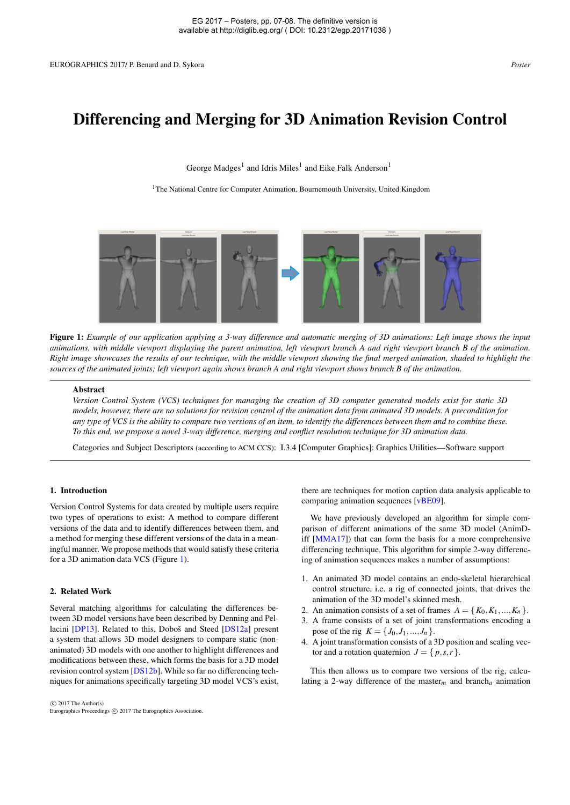# <span id="page-0-1"></span>Differencing and Merging for 3D Animation Revision Control

George Madges<sup>1</sup> and Idris Miles<sup>1</sup> and Eike Falk Anderson<sup>1</sup>

<sup>1</sup>The National Centre for Computer Animation, Bournemouth University, United Kingdom



<span id="page-0-0"></span>Figure 1: *Example of our application applying a 3-way difference and automatic merging of 3D animations: Left image shows the input animations, with middle viewport displaying the parent animation, left viewport branch A and right viewport branch B of the animation. Right image showcases the results of our technique, with the middle viewport showing the final merged animation, shaded to highlight the sources of the animated joints; left viewport again shows branch A and right viewport shows branch B of the animation.*

#### Abstract

*Version Control System (VCS) techniques for managing the creation of 3D computer generated models exist for static 3D models, however, there are no solutions for revision control of the animation data from animated 3D models. A precondition for any type of VCS is the ability to compare two versions of an item, to identify the differences between them and to combine these. To this end, we propose a novel 3-way difference, merging and conflict resolution technique for 3D animation data.*

Categories and Subject Descriptors (according to ACM CCS): I.3.4 [Computer Graphics]: Graphics Utilities—Software support

#### 1. Introduction

Version Control Systems for data created by multiple users require two types of operations to exist: A method to compare different versions of the data and to identify differences between them, and a method for merging these different versions of the data in a meaningful manner. We propose methods that would satisfy these criteria for a 3D animation data VCS (Figure [1\)](#page-0-0).

### 2. Related Work

Several matching algorithms for calculating the differences between 3D model versions have been described by Denning and Pellacini [\[DP13\]](#page-1-0). Related to this, Doboš and Steed [\[DS12a\]](#page-1-1) present a system that allows 3D model designers to compare static (nonanimated) 3D models with one another to highlight differences and modifications between these, which forms the basis for a 3D model revision control system [\[DS12b\]](#page-1-2). While so far no differencing techniques for animations specifically targeting 3D model VCS's exist,

 c 2017 The Author(s) Eurographics Proceedings (C) 2017 The Eurographics Association there are techniques for motion caption data analysis applicable to comparing animation sequences [\[vBE09\]](#page-1-3).

We have previously developed an algorithm for simple comparison of different animations of the same 3D model (AnimDiff [\[MMA17\]](#page-1-4)) that can form the basis for a more comprehensive differencing technique. This algorithm for simple 2-way differencing of animation sequences makes a number of assumptions:

- 1. An animated 3D model contains an endo-skeletal hierarchical control structure, i.e. a rig of connected joints, that drives the animation of the 3D model's skinned mesh.
- 2. An animation consists of a set of frames  $A = \{K_0, K_1, \ldots, K_n\}$ .
- 3. A frame consists of a set of joint transformations encoding a pose of the rig  $K = \{J_0, J_1, ..., J_n\}.$
- 4. A joint transformation consists of a 3D position and scaling vector and a rotation quaternion  $J = \{p, s, r\}.$

This then allows us to compare two versions of the rig, calculating a 2-way difference of the master*m* and branch*a* animation